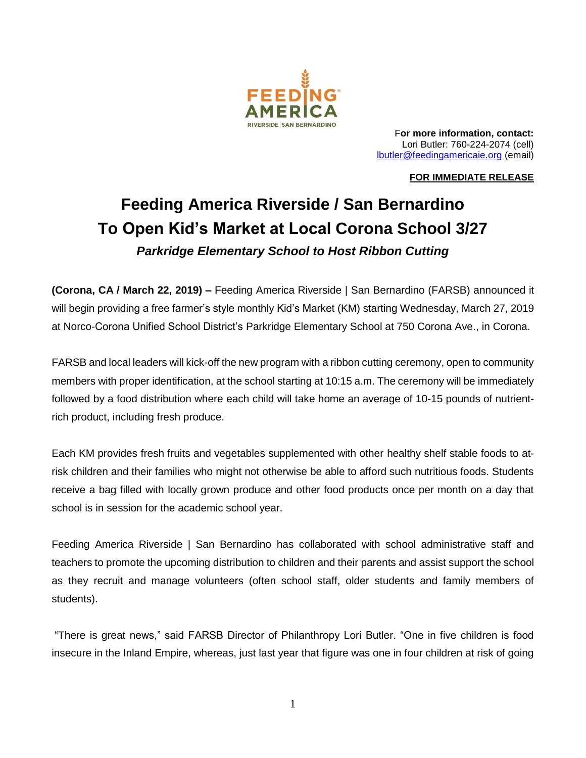

F**or more information, contact:**  Lori Butler: 760-224-2074 (cell) [lbutler@feedingamericaie.org](mailto:lbutler@feedingamericaie.org) (email)

## **FOR IMMEDIATE RELEASE**

## **Feeding America Riverside / San Bernardino To Open Kid's Market at Local Corona School 3/27** *Parkridge Elementary School to Host Ribbon Cutting*

**(Corona, CA / March 22, 2019) –** Feeding America Riverside | San Bernardino (FARSB) announced it will begin providing a free farmer's style monthly Kid's Market (KM) starting Wednesday, March 27, 2019 at Norco-Corona Unified School District's Parkridge Elementary School at 750 Corona Ave., in Corona.

FARSB and local leaders will kick-off the new program with a ribbon cutting ceremony, open to community members with proper identification, at the school starting at 10:15 a.m. The ceremony will be immediately followed by a food distribution where each child will take home an average of 10-15 pounds of nutrientrich product, including fresh produce.

Each KM provides fresh fruits and vegetables supplemented with other healthy shelf stable foods to atrisk children and their families who might not otherwise be able to afford such nutritious foods. Students receive a bag filled with locally grown produce and other food products once per month on a day that school is in session for the academic school year.

Feeding America Riverside | San Bernardino has collaborated with school administrative staff and teachers to promote the upcoming distribution to children and their parents and assist support the school as they recruit and manage volunteers (often school staff, older students and family members of students).

"There is great news," said FARSB Director of Philanthropy Lori Butler. "One in five children is food insecure in the Inland Empire, whereas, just last year that figure was one in four children at risk of going